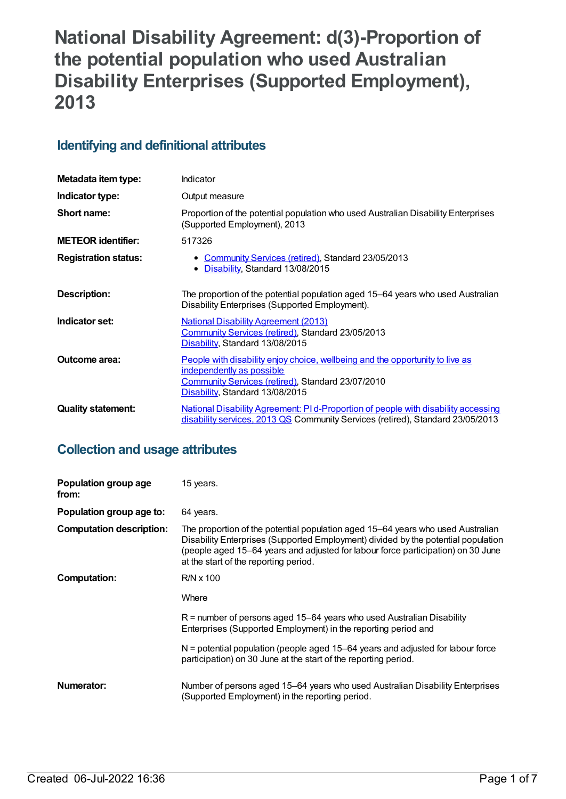# **National Disability Agreement: d(3)-Proportion of the potential population who used Australian Disability Enterprises (Supported Employment), 2013**

# **Identifying and definitional attributes**

| Metadata item type:         | <b>Indicator</b>                                                                                                                                                                                          |  |
|-----------------------------|-----------------------------------------------------------------------------------------------------------------------------------------------------------------------------------------------------------|--|
| Indicator type:             | Output measure                                                                                                                                                                                            |  |
| Short name:                 | Proportion of the potential population who used Australian Disability Enterprises<br>(Supported Employment), 2013                                                                                         |  |
| <b>METEOR identifier:</b>   | 517326                                                                                                                                                                                                    |  |
| <b>Registration status:</b> | • Community Services (retired), Standard 23/05/2013<br>• Disability, Standard 13/08/2015                                                                                                                  |  |
| Description:                | The proportion of the potential population aged 15–64 years who used Australian<br>Disability Enterprises (Supported Employment).                                                                         |  |
| Indicator set:              | <b>National Disability Agreement (2013)</b><br>Community Services (retired), Standard 23/05/2013<br>Disability, Standard 13/08/2015                                                                       |  |
| Outcome area:               | <u>People with disability enjoy choice, wellbeing and the opportunity to live as</u><br>independently as possible<br>Community Services (retired), Standard 23/07/2010<br>Disability, Standard 13/08/2015 |  |
| <b>Quality statement:</b>   | National Disability Agreement: PI d-Proportion of people with disability accessing<br>disability services, 2013 QS Community Services (retired), Standard 23/05/2013                                      |  |

# **Collection and usage attributes**

| Population group age<br>from:   | 15 years.                                                                                                                                                                                                                                                                                         |
|---------------------------------|---------------------------------------------------------------------------------------------------------------------------------------------------------------------------------------------------------------------------------------------------------------------------------------------------|
| Population group age to:        | 64 years.                                                                                                                                                                                                                                                                                         |
| <b>Computation description:</b> | The proportion of the potential population aged 15–64 years who used Australian<br>Disability Enterprises (Supported Employment) divided by the potential population<br>(people aged 15–64 years and adjusted for labour force participation) on 30 June<br>at the start of the reporting period. |
| Computation:                    | R/N x 100                                                                                                                                                                                                                                                                                         |
|                                 | Where                                                                                                                                                                                                                                                                                             |
|                                 | $R$ = number of persons aged 15–64 years who used Australian Disability<br>Enterprises (Supported Employment) in the reporting period and                                                                                                                                                         |
|                                 | N = potential population (people aged 15–64 years and adjusted for labour force<br>participation) on 30 June at the start of the reporting period.                                                                                                                                                |
| Numerator:                      | Number of persons aged 15–64 years who used Australian Disability Enterprises<br>(Supported Employment) in the reporting period.                                                                                                                                                                  |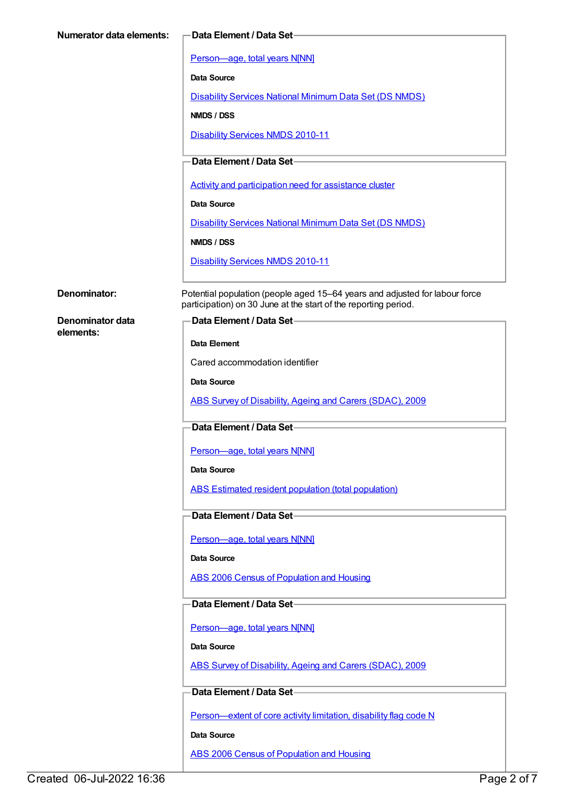| <b>Numerator data elements:</b>                     | -Data Element / Data Set                                                                                                                       |
|-----------------------------------------------------|------------------------------------------------------------------------------------------------------------------------------------------------|
|                                                     | Person-age, total years N[NN]                                                                                                                  |
|                                                     | Data Source                                                                                                                                    |
|                                                     | <b>Disability Services National Minimum Data Set (DS NMDS)</b>                                                                                 |
|                                                     | NMDS / DSS                                                                                                                                     |
|                                                     | <b>Disability Services NMDS 2010-11</b>                                                                                                        |
|                                                     |                                                                                                                                                |
|                                                     | Data Element / Data Set-                                                                                                                       |
|                                                     | Activity and participation need for assistance cluster                                                                                         |
|                                                     | <b>Data Source</b>                                                                                                                             |
|                                                     | <b>Disability Services National Minimum Data Set (DS NMDS)</b>                                                                                 |
|                                                     | NMDS / DSS                                                                                                                                     |
|                                                     | <b>Disability Services NMDS 2010-11</b>                                                                                                        |
|                                                     |                                                                                                                                                |
| Denominator:                                        | Potential population (people aged 15-64 years and adjusted for labour force<br>participation) on 30 June at the start of the reporting period. |
| Denominator data<br><b>Data Element / Data Set-</b> |                                                                                                                                                |
| elements:                                           | <b>Data Element</b>                                                                                                                            |
|                                                     | Cared accommodation identifier                                                                                                                 |
|                                                     | Data Source                                                                                                                                    |
|                                                     | ABS Survey of Disability, Ageing and Carers (SDAC), 2009                                                                                       |
|                                                     |                                                                                                                                                |
|                                                     | Data Element / Data Set-                                                                                                                       |
|                                                     | Person-age, total years N[NN]                                                                                                                  |
|                                                     | Data Source                                                                                                                                    |
|                                                     | ABS Estimated resident population (total population)                                                                                           |
|                                                     | Data Element / Data Set-                                                                                                                       |
|                                                     |                                                                                                                                                |
|                                                     | Person-age, total years N[NN]                                                                                                                  |
|                                                     | Data Source                                                                                                                                    |
|                                                     | ABS 2006 Census of Population and Housing                                                                                                      |
|                                                     | Data Element / Data Set-                                                                                                                       |
|                                                     | Person-age, total years N[NN]                                                                                                                  |
|                                                     | Data Source                                                                                                                                    |
|                                                     | ABS Survey of Disability, Ageing and Carers (SDAC), 2009                                                                                       |
|                                                     |                                                                                                                                                |
|                                                     | Data Element / Data Set-                                                                                                                       |
|                                                     | Person-extent of core activity limitation, disability flag code N                                                                              |
|                                                     | Data Source                                                                                                                                    |
|                                                     | <b>ABS 2006 Census of Population and Housing</b>                                                                                               |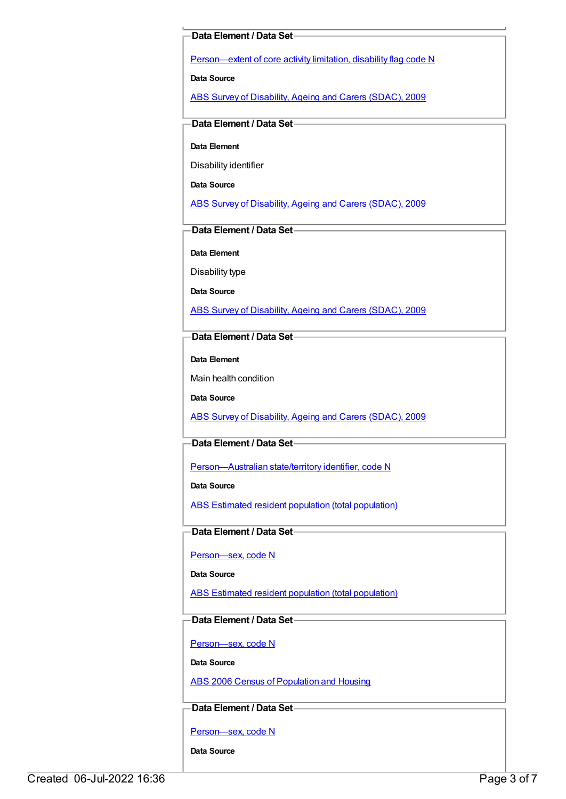#### **Data Element / Data Set**

[Person—extent](https://meteor.aihw.gov.au/content/541585) of core activity limitation, disability flag code N

**Data Source**

ABS Survey of [Disability,](https://meteor.aihw.gov.au/content/445288) Ageing and Carers (SDAC), 2009

## **Data Element / Data Set**

**Data Element**

Disability identifier

**Data Source**

ABS Survey of [Disability,](https://meteor.aihw.gov.au/content/445288) Ageing and Carers (SDAC), 2009

#### **Data Element / Data Set**

**Data Element**

Disability type

**Data Source**

ABS Survey of [Disability,](https://meteor.aihw.gov.au/content/445288) Ageing and Carers (SDAC), 2009

## **Data Element / Data Set**

**Data Element**

Main health condition

**Data Source**

ABS Survey of [Disability,](https://meteor.aihw.gov.au/content/445288) Ageing and Carers (SDAC), 2009

# **Data Element / Data Set**

[Person—Australian](https://meteor.aihw.gov.au/content/286919) state/territory identifier, code N

**Data Source**

ABS Estimated resident population (total [population\)](https://meteor.aihw.gov.au/content/393625)

#### **Data Element / Data Set**

[Person—sex,](https://meteor.aihw.gov.au/content/287316) code N

**Data Source**

ABS Estimated resident population (total [population\)](https://meteor.aihw.gov.au/content/393625)

# **Data Element / Data Set**

[Person—sex,](https://meteor.aihw.gov.au/content/287316) code N

**Data Source**

ABS 2006 Census of [Population](https://meteor.aihw.gov.au/content/394447) and Housing

# **Data Element / Data Set**

[Person—sex,](https://meteor.aihw.gov.au/content/287316) code N

**Data Source**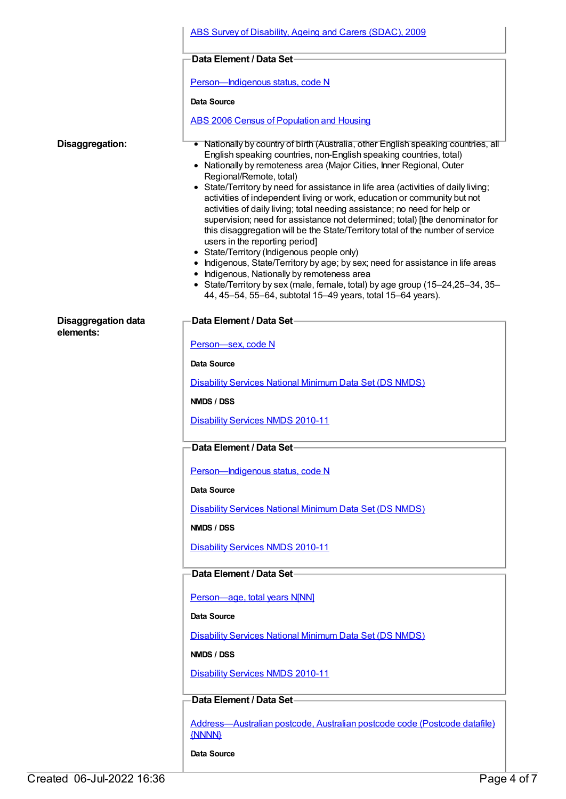|                            | ABS Survey of Disability, Ageing and Carers (SDAC), 2009                                                                                                                                                                                                                                                                                                                                                                                                                                                                                                                                                                                                                                                                                                                                                                                                                                                                                                                                                                                       |
|----------------------------|------------------------------------------------------------------------------------------------------------------------------------------------------------------------------------------------------------------------------------------------------------------------------------------------------------------------------------------------------------------------------------------------------------------------------------------------------------------------------------------------------------------------------------------------------------------------------------------------------------------------------------------------------------------------------------------------------------------------------------------------------------------------------------------------------------------------------------------------------------------------------------------------------------------------------------------------------------------------------------------------------------------------------------------------|
|                            | Data Element / Data Set-                                                                                                                                                                                                                                                                                                                                                                                                                                                                                                                                                                                                                                                                                                                                                                                                                                                                                                                                                                                                                       |
|                            | Person-Indigenous status, code N                                                                                                                                                                                                                                                                                                                                                                                                                                                                                                                                                                                                                                                                                                                                                                                                                                                                                                                                                                                                               |
|                            | Data Source                                                                                                                                                                                                                                                                                                                                                                                                                                                                                                                                                                                                                                                                                                                                                                                                                                                                                                                                                                                                                                    |
|                            | <b>ABS 2006 Census of Population and Housing</b>                                                                                                                                                                                                                                                                                                                                                                                                                                                                                                                                                                                                                                                                                                                                                                                                                                                                                                                                                                                               |
| Disaggregation:            | • Nationally by country of birth (Australia, other English speaking countries, all<br>English speaking countries, non-English speaking countries, total)<br>• Nationally by remoteness area (Major Cities, Inner Regional, Outer<br>Regional/Remote, total)<br>• State/Territory by need for assistance in life area (activities of daily living;<br>activities of independent living or work, education or community but not<br>activities of daily living; total needing assistance; no need for help or<br>supervision; need for assistance not determined; total) [the denominator for<br>this disaggregation will be the State/Territory total of the number of service<br>users in the reporting period]<br>• State/Territory (Indigenous people only)<br>• Indigenous, State/Territory by age; by sex; need for assistance in life areas<br>• Indigenous, Nationally by remoteness area<br>• State/Territory by sex (male, female, total) by age group (15-24,25-34, 35-<br>44, 45-54, 55-64, subtotal 15-49 years, total 15-64 years). |
| <b>Disaggregation data</b> | Data Element / Data Set-                                                                                                                                                                                                                                                                                                                                                                                                                                                                                                                                                                                                                                                                                                                                                                                                                                                                                                                                                                                                                       |
| elements:                  | Person-sex, code N                                                                                                                                                                                                                                                                                                                                                                                                                                                                                                                                                                                                                                                                                                                                                                                                                                                                                                                                                                                                                             |
|                            | Data Source                                                                                                                                                                                                                                                                                                                                                                                                                                                                                                                                                                                                                                                                                                                                                                                                                                                                                                                                                                                                                                    |
|                            | <b>Disability Services National Minimum Data Set (DS NMDS)</b>                                                                                                                                                                                                                                                                                                                                                                                                                                                                                                                                                                                                                                                                                                                                                                                                                                                                                                                                                                                 |
|                            | NMDS / DSS                                                                                                                                                                                                                                                                                                                                                                                                                                                                                                                                                                                                                                                                                                                                                                                                                                                                                                                                                                                                                                     |
|                            | <b>Disability Services NMDS 2010-11</b>                                                                                                                                                                                                                                                                                                                                                                                                                                                                                                                                                                                                                                                                                                                                                                                                                                                                                                                                                                                                        |
|                            | –Data Element / Data Set−                                                                                                                                                                                                                                                                                                                                                                                                                                                                                                                                                                                                                                                                                                                                                                                                                                                                                                                                                                                                                      |
|                            | Person-Indigenous status, code N                                                                                                                                                                                                                                                                                                                                                                                                                                                                                                                                                                                                                                                                                                                                                                                                                                                                                                                                                                                                               |
|                            | <b>Data Source</b>                                                                                                                                                                                                                                                                                                                                                                                                                                                                                                                                                                                                                                                                                                                                                                                                                                                                                                                                                                                                                             |
|                            | Disability Services National Minimum Data Set (DS NMDS)                                                                                                                                                                                                                                                                                                                                                                                                                                                                                                                                                                                                                                                                                                                                                                                                                                                                                                                                                                                        |
|                            | NMDS / DSS                                                                                                                                                                                                                                                                                                                                                                                                                                                                                                                                                                                                                                                                                                                                                                                                                                                                                                                                                                                                                                     |
|                            | <b>Disability Services NMDS 2010-11</b>                                                                                                                                                                                                                                                                                                                                                                                                                                                                                                                                                                                                                                                                                                                                                                                                                                                                                                                                                                                                        |
|                            | Data Element / Data Set-                                                                                                                                                                                                                                                                                                                                                                                                                                                                                                                                                                                                                                                                                                                                                                                                                                                                                                                                                                                                                       |
|                            | Person-age, total years N[NN]                                                                                                                                                                                                                                                                                                                                                                                                                                                                                                                                                                                                                                                                                                                                                                                                                                                                                                                                                                                                                  |
|                            | Data Source                                                                                                                                                                                                                                                                                                                                                                                                                                                                                                                                                                                                                                                                                                                                                                                                                                                                                                                                                                                                                                    |
|                            | <b>Disability Services National Minimum Data Set (DS NMDS)</b>                                                                                                                                                                                                                                                                                                                                                                                                                                                                                                                                                                                                                                                                                                                                                                                                                                                                                                                                                                                 |
|                            | NMDS / DSS                                                                                                                                                                                                                                                                                                                                                                                                                                                                                                                                                                                                                                                                                                                                                                                                                                                                                                                                                                                                                                     |
|                            | <b>Disability Services NMDS 2010-11</b>                                                                                                                                                                                                                                                                                                                                                                                                                                                                                                                                                                                                                                                                                                                                                                                                                                                                                                                                                                                                        |
|                            | Data Element / Data Set-                                                                                                                                                                                                                                                                                                                                                                                                                                                                                                                                                                                                                                                                                                                                                                                                                                                                                                                                                                                                                       |
|                            | Address-Australian postcode, Australian postcode code (Postcode datafile)<br>{NNNN}                                                                                                                                                                                                                                                                                                                                                                                                                                                                                                                                                                                                                                                                                                                                                                                                                                                                                                                                                            |
|                            | Data Source                                                                                                                                                                                                                                                                                                                                                                                                                                                                                                                                                                                                                                                                                                                                                                                                                                                                                                                                                                                                                                    |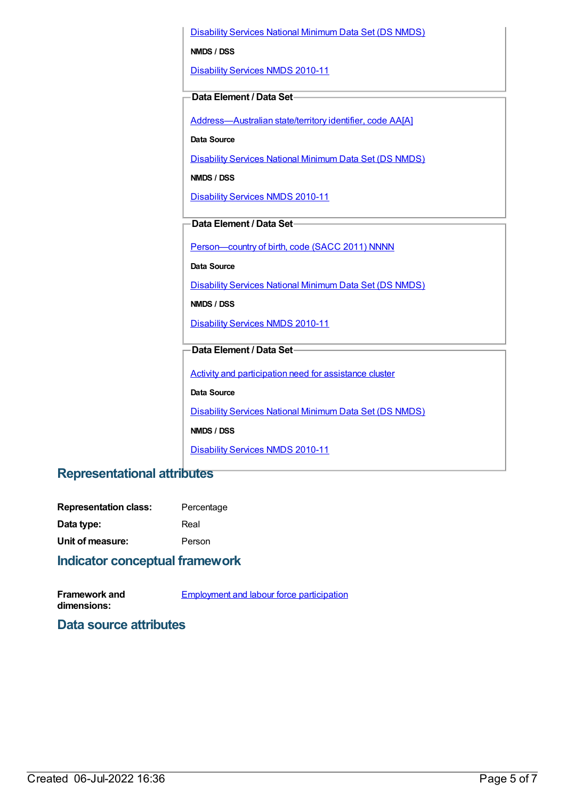[Disability](https://meteor.aihw.gov.au/content/393884) Services National Minimum Data Set (DS NMDS)

**NMDS / DSS**

[Disability](https://meteor.aihw.gov.au/content/428708) Services NMDS 2010-11

#### **Data Element / Data Set**

[Address—Australian](https://meteor.aihw.gov.au/content/430134) state/territory identifier, code AA[A]

**Data Source**

[Disability](https://meteor.aihw.gov.au/content/393884) Services National Minimum Data Set (DS NMDS)

**NMDS / DSS**

[Disability](https://meteor.aihw.gov.au/content/428708) Services NMDS 2010-11

# **Data Element / Data Set**

Person-country of birth, code (SACC 2011) NNNN

**Data Source**

[Disability](https://meteor.aihw.gov.au/content/393884) Services National Minimum Data Set (DS NMDS)

**NMDS / DSS**

[Disability](https://meteor.aihw.gov.au/content/428708) Services NMDS 2010-11

# **Data Element / Data Set**

Activity and [participation](https://meteor.aihw.gov.au/content/492069) need for assistance cluster

**Data Source**

[Disability](https://meteor.aihw.gov.au/content/393884) Services National Minimum Data Set (DS NMDS)

**NMDS / DSS**

[Disability](https://meteor.aihw.gov.au/content/428708) Services NMDS 2010-11

# **Representational attributes**

| <b>Representation class:</b> | Percentage |
|------------------------------|------------|
| Data type:                   | Real       |
| Unit of measure:             | Person     |

# **Indicator conceptual framework**

| <b>Framework and</b> | <b>Employment and labour force participation</b> |
|----------------------|--------------------------------------------------|
| dimensions:          |                                                  |

# **Data source attributes**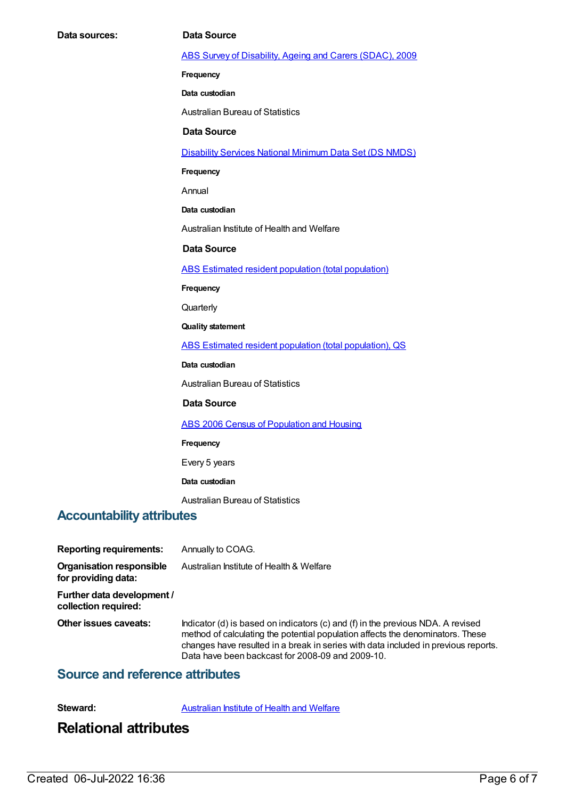#### ABS Survey of [Disability,](https://meteor.aihw.gov.au/content/445288) Ageing and Carers (SDAC), 2009

**Frequency**

**Data custodian**

Australian Bureau of Statistics

#### **Data Source**

[Disability](https://meteor.aihw.gov.au/content/393884) Services National Minimum Data Set (DS NMDS)

**Frequency**

Annual

**Data custodian**

Australian Institute of Health and Welfare

**Data Source**

ABS Estimated resident population (total [population\)](https://meteor.aihw.gov.au/content/393625)

**Frequency**

**Quarterly** 

**Quality statement**

ABS Estimated resident population (total [population\),](https://meteor.aihw.gov.au/content/449216) QS

**Data custodian**

Australian Bureau of Statistics

#### **Data Source**

ABS 2006 Census of [Population](https://meteor.aihw.gov.au/content/394447) and Housing

#### **Frequency**

Every 5 years

**Data custodian**

Australian Bureau of Statistics

### **Accountability attributes**

**Reporting requirements:** Annually to COAG. **Organisation responsible for providing data:** Australian Institute of Health & Welfare **Further data development / collection required: Other issues caveats:** Indicator (d) is based on indicators (c) and (f) in the previous NDA. A revised

method of calculating the potential population affects the denominators. These changes have resulted in a break in series with data included in previous reports. Data have been backcast for 2008-09 and 2009-10.

# **Source and reference attributes**

**Steward:** [Australian](https://meteor.aihw.gov.au/content/246013) Institute of Health and Welfare

# **Relational attributes**